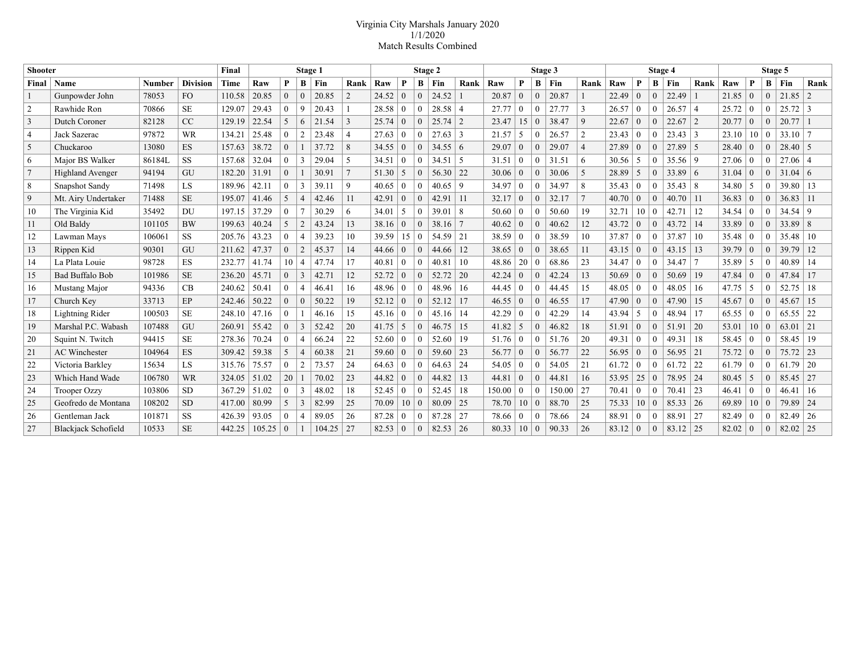## Virginia City Marshals January 2020 1/1/2020 Match Results Combined

| <b>Shooter</b>  |                            |               |                 | Final  | Stage 1 |                |                |        |                | Stage 2 |                |                |             |                | Stage 3 |                |                |        | Stage 4        |       |                  |              | Stage 5 |                 |       |                |              |                |      |
|-----------------|----------------------------|---------------|-----------------|--------|---------|----------------|----------------|--------|----------------|---------|----------------|----------------|-------------|----------------|---------|----------------|----------------|--------|----------------|-------|------------------|--------------|---------|-----------------|-------|----------------|--------------|----------------|------|
| Final           | Name                       | <b>Number</b> | <b>Division</b> | Time   | Raw     | P              | B              | Fin    | Rank           | Raw     | P              |                | $B$   Fin   | Rank           | Raw     | P              | B              | Fin    | Rank           | Raw   | P                | B            | Fin     | Rank            | Raw   | P              | $\mathbf{B}$ | Fin            | Rank |
| 1               | Gunpowder John             | 78053         | FO              | 110.58 | 20.85   | $\theta$       | $\theta$       | 20.85  | $\overline{2}$ | 24.52   | $\overline{0}$ | $\theta$       | 24.52       |                | 20.87   | $\overline{0}$ | $\mathbf{0}$   | 20.87  |                | 22.49 | $\overline{0}$   | $\theta$     | 22.49   |                 | 21.85 | $\overline{0}$ | $\theta$     | 21.85          | 2    |
| 2               | Rawhide Ron                | 70866         | <b>SE</b>       | 129.07 | 29.43   | $\theta$       | 9              | 20.43  | 1              | 28.58   | $\theta$       | $\theta$       | $28.58$   4 |                | 27.77   | $\theta$       | $\theta$       | 27.77  | 3              | 26.57 | $\theta$         | $\Omega$     | 26.57   | $\overline{4}$  | 25.72 | $\theta$       | $\theta$     | $25.72 \mid 3$ |      |
| 3               | Dutch Coroner              | 82128         | CC              | 129.19 | 22.54   | .5             | 6              | 21.54  | 3              | 25.74   | $\overline{0}$ | $\theta$       | 25.74       | 12             | 23.47   | 15             | $\mathbf{0}$   | 38.47  | 9              | 22.67 | $\theta$         | $\Omega$     | 22.67   | $\overline{2}$  | 20.77 | $\overline{0}$ | $\Omega$     | 20.77          |      |
| $\overline{4}$  | Jack Sazerac               | 97872         | <b>WR</b>       | 134.21 | 25.48   | $\overline{0}$ |                | 23.48  | $\overline{4}$ | 27.63   | $\theta$       | $\Omega$       | 27.63       | 3              | 21.57   | 5 <sup>5</sup> | $\Omega$       | 26.57  | $\overline{2}$ | 23.43 | $\theta$         | $\theta$     | 23.43   | 3               | 23.10 | 10             | $\left($     | 33.10          |      |
| 5               | Chuckaroo                  | 13080         | <b>ES</b>       | 157.63 | 38.72   | $\overline{0}$ |                | 37.72  | 8              | 34.55   | $\overline{0}$ | $\theta$       | 34.55       | $\vert 6$      | 29.07   | $\mathbf{0}$   | $\Omega$       | 29.07  | $\overline{4}$ | 27.89 | $\theta$         | $\theta$     | 27.89   | 5               | 28.40 | $\theta$       | $\Omega$     | $28.40 \mid 5$ |      |
| 6               | Major BS Walker            | 86184L        | <b>SS</b>       | 157.68 | 32.04   | $\theta$       | $\mathcal{R}$  | 29.04  | 5              | 34.51   | $\Omega$       | $\theta$       | 34.51       | l 5            | 31.51   | $\theta$       | $\theta$       | 31.51  | 6              | 30.56 |                  | $\theta$     | 35.56   | -9              | 27.06 | $\mathbf{0}$   | $\theta$     | $27.06 \mid 4$ |      |
| $7\phantom{.0}$ | <b>Highland Avenger</b>    | 94194         | GU              | 182.20 | 31.91   | $\theta$       |                | 30.91  | $\tau$         | 51.30   | 5              | $\Omega$       | 56.30       | $\sqrt{22}$    | 30.06   | $\mathbf{0}$   | $\Omega$       | 30.06  | 5              | 28.89 |                  | $\theta$     | 33.89   | 6               | 31.04 | $\overline{0}$ | $\Omega$     | $31.04 \mid 6$ |      |
| 8               | <b>Snapshot Sandy</b>      | 71498         | <b>LS</b>       | 189.96 | 42.11   | $\theta$       | $\mathbf{3}$   | 39.11  | 9              | 40.65   | $\theta$       | $\Omega$       | 40.65       | 9              | 34.97   | $\mathbf{0}$   | $\overline{0}$ | 34.97  | 8              | 35.43 | $\theta$         | $\theta$     | 35.43   | $\vert 8$       | 34.80 | 5              | $\theta$     | 39.80          | 13   |
| 9               | Mt. Airy Undertaker        | 71488         | <b>SE</b>       | 195.07 | 41.46   | 5              | $\overline{4}$ | 42.46  | 11             | 42.91   | $\theta$       | $\Omega$       | 42.91       | $\vert$ 11     | 32.17   | $\theta$       | $\theta$       | 32.17  | $\overline{7}$ | 40.70 | $\theta$         | $\Omega$     | 40.70   | -11             | 36.83 | $\overline{0}$ | $\Omega$     | 36.83          | -11  |
| 10              | The Virginia Kid           | 35492         | <b>DU</b>       | 197.15 | 37.29   | $\overline{0}$ |                | 30.29  | 6              | 34.01   | 5              | $\theta$       | 39.01       | 8              | 50.60   | $\overline{0}$ | $\bf{0}$       | 50.60  | 19             | 32.71 | 10               | $\mathbf{0}$ | 42.71   | -12             | 34.54 | $\overline{0}$ | $\theta$     | $34.54$ 9      |      |
| 11              | Old Baldy                  | 101105        | <b>BW</b>       | 199.63 | 40.24   | 5              | $\overline{2}$ | 43.24  | 13             | 38.16   | $\theta$       | $\theta$       | 38.16       |                | 40.62   | $\Omega$       | $\Omega$       | 40.62  | 12             | 43.72 | $\theta$         | $\theta$     | 43.72   | 14              | 33.89 | $\overline{0}$ | $\theta$     | $33.89$ 8      |      |
| 12              | Lawman Mays                | 106061        | <b>SS</b>       | 205.76 | 43.23   | $\theta$       | 4              | 39.23  | 10             | 39.59   | $+15 +$        | $\theta$       | 54.59       | $\vert 21$     | 38.59   | $\overline{0}$ | $\theta$       | 38.59  | 10             | 37.87 | $\theta$         | $\Omega$     | 37.87   | 10              | 35.48 | $\Omega$       | $\theta$     | 35.48          | -10  |
| 13              | Rippen Kid                 | 90301         | GU              | 211.62 | 47.37   | $\theta$       | $\overline{2}$ | 45.37  | 14             | 44.66   | $\Omega$       | $\Omega$       | 44.66       | 12             | 38.65   | $\Omega$       | $\Omega$       | 38.65  | 11             | 43.15 | $\theta$         | $\Omega$     | 43.15   | $\vert$ 13      | 39.79 | $\Omega$       | $\theta$     | 39.79          | 12   |
| 14              | La Plata Louie             | 98728         | ES              | 232.77 | 41.74   | 10             | $\overline{4}$ | 47.74  | 17             | 40.81   | $\overline{0}$ | $\theta$       | 40.81       | 10             | 48.86   | 20             | $\Omega$       | 68.86  | 23             | 34.47 | $\theta$         | $\Omega$     | 34.47   | $\overline{7}$  | 35.89 | 5              | $\Omega$     | 40.89          | 14   |
| 15              | <b>Bad Buffalo Bob</b>     | 101986        | <b>SE</b>       | 236.20 | 45.71   | $\overline{0}$ | 3              | 42.71  | 12             | 52.72   | $\overline{0}$ | $\theta$       | 52.72       | 20             | 42.24   | $\overline{0}$ | $\mathbf{0}$   | 42.24  | 13             | 50.69 | $\overline{0}$   | $\theta$     | 50.69   | 19              | 47.84 | $\overline{0}$ | $\mathbf{0}$ | 47.84          | 17   |
| 16              | Mustang Major              | 94336         | CB              | 240.62 | 50.41   | $\theta$       |                | 46.41  | 16             | 48.96   | $\overline{0}$ | $\theta$       | 48.96       | 16             | 44.45   | $\mathbf{0}$   | $\Omega$       | 44.45  | 15             | 48.05 | $\left( \right)$ | $\Omega$     | 48.05   | 16              | 47.75 | 5              | $\Omega$     | 52.75          | 18   |
| 17              | Church Key                 | 33713         | EP              | 242.46 | 50.22   | $\theta$       | $\theta$       | 50.22  | 19             | 52.12   | $\Omega$       | $\theta$       | 52.12       | 17             | 46.55   | $\overline{0}$ | $\Omega$       | 46.55  | 17             | 47.90 | $\theta$         | $\theta$     | 47.90   | 15              | 45.67 | $\theta$       | $\theta$     | 45.67          | 15   |
| 18              | Lightning Rider            | 100503        | <b>SE</b>       | 248.10 | 47.16   | $\theta$       |                | 46.16  | 15             | 45.16   | $\theta$       | $\theta$       | 45.16       | 14             | 42.29   | $\theta$       | $\Omega$       | 42.29  | 14             | 43.94 | .5               | $\theta$     | 48.94   | 17              | 65.55 | $\Omega$       | $\Omega$     | 65.55          | 22   |
| 19              | Marshal P.C. Wabash        | 107488        | GU              | 260.91 | 55.42   | $\theta$       | 3              | 52.42  | 20             | 41.75   | 5              | $\mathbf{0}$   | 46.75       | 15             | 41.82   | 5              | $\overline{0}$ | 46.82  | 18             | 51.91 | $\theta$         | $\theta$     | 51.91   | 20              | 53.01 | 10 0           |              | 63.01          | 21   |
| 20              | Squint N. Twitch           | 94415         | <b>SE</b>       | 278.36 | 70.24   | $\theta$       | 4              | 66.24  | 22             | 52.60   | $\Omega$       | $\Omega$       | 52.60       | 19             | 51.76   | $\overline{0}$ | $\theta$       | 51.76  | 20             | 49.31 | $\theta$         | $\Omega$     | 49.31   | 18              | 58.45 | $\theta$       | $\Omega$     | 58.45          | -19  |
| 21              | <b>AC</b> Winchester       | 104964        | <b>ES</b>       | 309.42 | 59.38   | 5              | $\overline{A}$ | 60.38  | 21             | 59.60   | $\theta$       | $\theta$       | 59.60       | $\sqrt{23}$    | 56.77   | $\overline{0}$ | $\overline{0}$ | 56.77  | 22             | 56.95 | $\overline{0}$   | $\theta$     | 56.95   | 21              | 75.72 | $\mathbf{0}$   | $\Omega$     | 75.72          | 23   |
| 22              | Victoria Barkley           | 15634         | <b>LS</b>       | 315.76 | 75.57   | $\theta$       | $\overline{2}$ | 73.57  | 24             | 64.63   | $\theta$       | $\theta$       | 64.63       | $\sqrt{24}$    | 54.05   | $\theta$       | $\theta$       | 54.05  | 21             | 61.72 | $\theta$         | $\Omega$     | 61.72   | 22              | 61.79 | $\left($       | $\Omega$     | 61.79          | 20   |
| 23              | Which Hand Wade            | 106780        | <b>WR</b>       | 324.05 | 51.02   | 20             |                | 70.02  | 23             | 44.82   | $\overline{0}$ | $\Omega$       | 44.82       | 13             | 44.81   | $\Omega$       | $\theta$       | 44.81  | 16             | 53.95 | 25               | $\Omega$     | 78.95   | 24              | 80.45 | 5              | $\Omega$     | 85.45          | 27   |
| 24              | Trooper Ozzy               | 103806        | <b>SD</b>       | 367.29 | 51.02   | $\theta$       |                | 48.02  | 18             | 52.45   | $\theta$       | $\Omega$       | 52.45       | 18             | 150.00  | $\Omega$       | $\Omega$       | 150.00 | 27             | 70.41 | $\Omega$         | $\Omega$     | 70.41   | 23              | 46.41 | $\theta$       | $\theta$     | 46.41          | -16  |
| 25              | Geofredo de Montana        | 108202        | <b>SD</b>       | 417.00 | 80.99   | 5              | $\mathcal{R}$  | 82.99  | 25             | 70.09   | 10             | $\overline{0}$ | 80.09       | 25             | 78.70   | 10             | $\mathbf{0}$   | 88.70  | 25             | 75.33 | 10               | $\Omega$     | 85.33   | 26              | 69.89 | 10             | $\Omega$     | 79.89          | 24   |
| 26              | Gentleman Jack             | 101871        | <b>SS</b>       | 426.39 | 93.05   | $\overline{0}$ | 4              | 89.05  | 26             | 87.28   | $\mathbf{0}$   | $\theta$       | 87.28       | 27             | 78.66   | $\overline{0}$ | $\mathbf{0}$   | 78.66  | 24             | 88.91 | $\overline{0}$   | $\Omega$     | 88.91   | 27              | 82.49 | $\mathbf{0}$   | $\theta$     | 82.49          | 26   |
| 27              | <b>Blackjack Schofield</b> | 10533         | <b>SE</b>       | 442.25 | 105.25  | $\theta$       |                | 104.25 | $\frac{27}{2}$ | 82.53   | $\overline{0}$ | $\theta$       | 82.53       | $\frac{26}{2}$ | 80.33   | 10             | $\overline{0}$ | 90.33  | 26             | 83.12 |                  | $\theta$     | 83.12   | $\frac{25}{25}$ | 82.02 | $\overline{0}$ | $\theta$     | 82.02          | 25   |